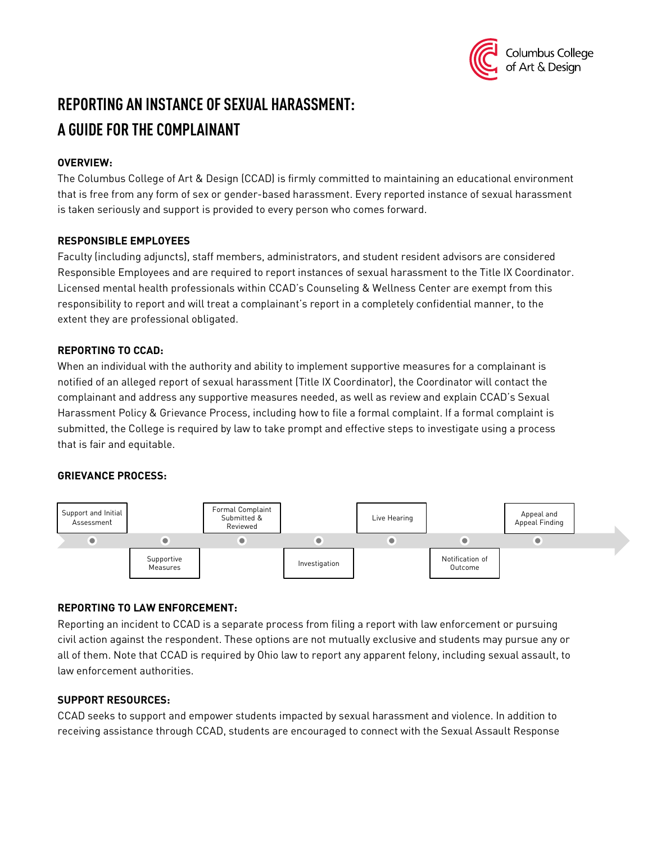

# **REPORTING AN INSTANCE OF SEXUAL HARASSMENT: A GUIDE FOR THE COMPLAINANT**

## **OVERVIEW:**

The Columbus College of Art & Design (CCAD) is firmly committed to maintaining an educational environment that is free from any form of sex or gender-based harassment. Every reported instance of sexual harassment is taken seriously and support is provided to every person who comes forward.

#### **RESPONSIBLE EMPLOYEES**

Faculty (including adjuncts), staff members, administrators, and student resident advisors are considered Responsible Employees and are required to report instances of sexual harassment to the Title IX Coordinator. Licensed mental health professionals within CCAD's Counseling & Wellness Center are exempt from this responsibility to report and will treat a complainant's report in a completely confidential manner, to the extent they are professional obligated.

## **REPORTING TO CCAD:**

When an individual with the authority and ability to implement supportive measures for a complainant is notified of an alleged report of sexual harassment (Title IX Coordinator), the Coordinator will contact the complainant and address any supportive measures needed, as well as review and explain CCAD's Sexual Harassment Policy & Grievance Process, including how to file a formal complaint. If a formal complaint is submitted, the College is required by law to take prompt and effective steps to investigate using a process that is fair and equitable.

# **GRIEVANCE PROCESS:**



# **REPORTING TO LAW ENFORCEMENT:**

Reporting an incident to CCAD is a separate process from filing a report with law enforcement or pursuing civil action against the respondent. These options are not mutually exclusive and students may pursue any or all of them. Note that CCAD is required by Ohio law to report any apparent felony, including sexual assault, to law enforcement authorities.

# **SUPPORT RESOURCES:**

CCAD seeks to support and empower students impacted by sexual harassment and violence. In addition to receiving assistance through CCAD, students are encouraged to connect with the Sexual Assault Response